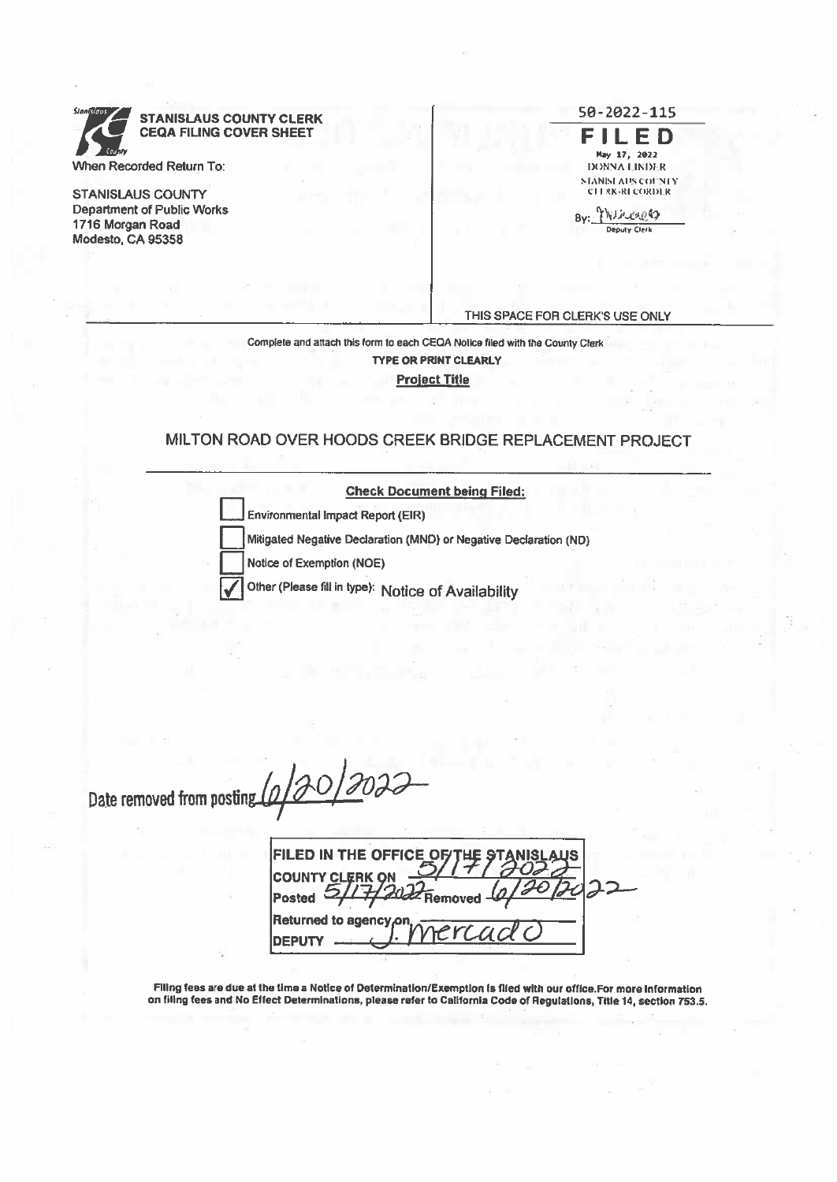**STANISLAUS COUNTY CLERK CEQA FILING COVER SHEET** When Recorded Return To:

**STANISLAUS COUNTY Department of Public Works** 1716 Morgan Road Modesto, CA 95358

FILED May 17, 2022 **DONNA LINDER** STANISE AUS COUNTY CITRK-RECORDER

50-2022-115

By: Minereg Deputy Clerk

THIS SPACE FOR CLERK'S USE ONLY

Complete and attach this form to each CEQA Notice filed with the County Clerk **TYPE OR PRINT CLEARLY Project Title** 

### MILTON ROAD OVER HOODS CREEK BRIDGE REPLACEMENT PROJECT

| <b>Check Document being Filed:</b>                                |
|-------------------------------------------------------------------|
| Environmental Impact Report (EIR)                                 |
| Mitigated Negative Declaration (MND) or Negative Declaration (ND) |
| Notice of Exemption (NOE)                                         |
| Other (Please fill in type): Notice of Availability               |

0120/202 Date removed from posting

**FILED IN THE OFFICE COUNTY CLERK O** Posted  $\subset$ Returned to agency<sub>f</sub>or DEPUTY

Filing fees are due at the time a Notice of Determination/Exemption is filed with our office.For more information on filing fees and No Effect Determinations, please refer to California Code of Regulations, Title 14, section 753.5.